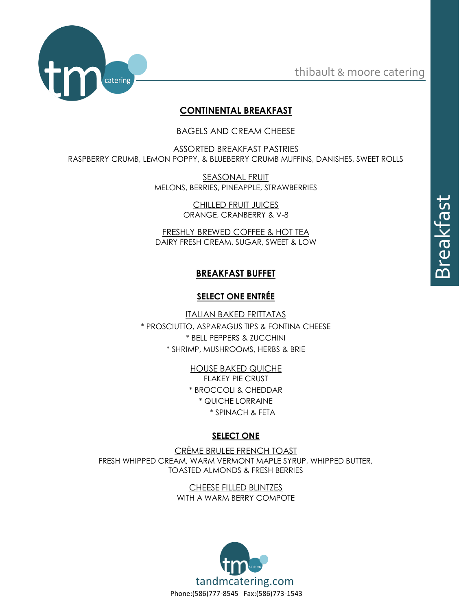thibault & moore catering



### **CONTINENTAL BREAKFAST**

**BAGELS AND CREAM CHEESE** 

ASSORTED BREAKFAST PASTRIES RASPBERRY CRUMB, LEMON POPPY, & BLUEBERRY CRUMB MUFFINS, DANISHES, SWEET ROLLS

> SEASONAL FRUIT MELONS, BERRIES, PINEAPPLE, STRAWBERRIES

> > CHILLED FRUIT JUICES ORANGE, CRANBERRY & V-8

FRESHLY BREWED COFFEE & HOT TEA DAIRY FRESH CREAM, SUGAR, SWEET & LOW

## **BREAKFAST BUFFET**

### **SELECT ONE ENTRÉE**

ITALIAN BAKED FRITTATAS \* PROSCIUTTO, ASPARAGUS TIPS & FONTINA CHEESE \* BELL PEPPERS & ZUCCHINI \* SHRIMP, MUSHROOMS, HERBS & BRIE

> HOUSE BAKED QUICHE FLAKEY PIE CRUST \* BROCCOLI & CHEDDAR \* QUICHE LORRAINE \* SPINACH & FETA

# **SELECT ONE**

CRÈME BRULEE FRENCH TOAST FRESH WHIPPED CREAM, WARM VERMONT MAPLE SYRUP, WHIPPED BUTTER, TOASTED ALMONDS & FRESH BERRIES

> CHEESE FILLED BLINTZES WITH A WARM BERRY COMPOTE